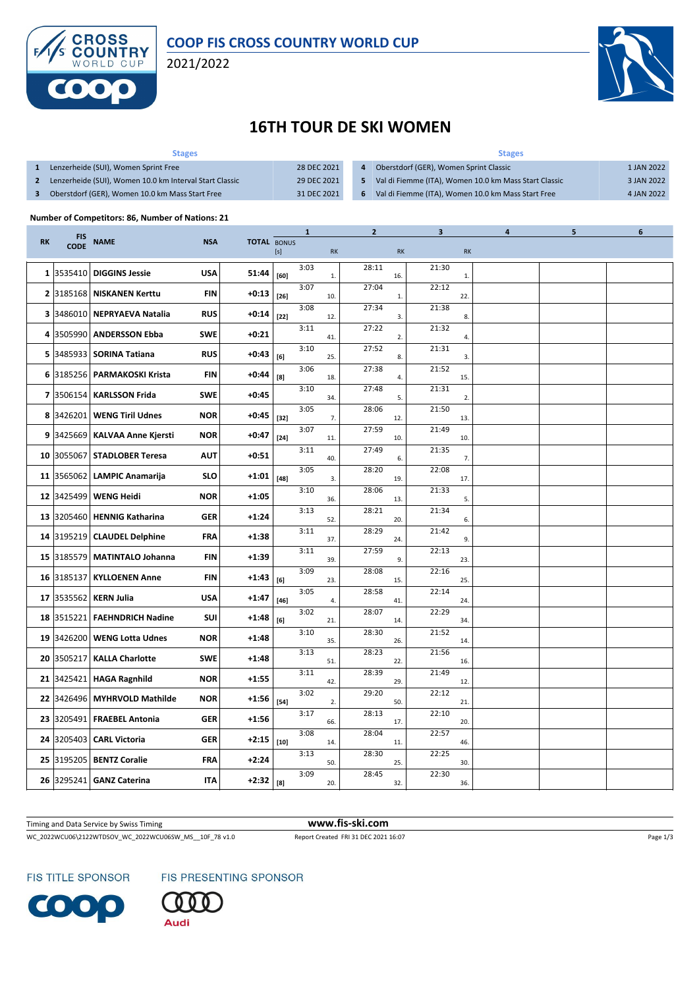

2021/2022



## **16TH TOUR DE SKI WOMEN**

| <b>Stages</b>                                           |             | <b>Stages</b>                                         |            |  |  |  |  |  |
|---------------------------------------------------------|-------------|-------------------------------------------------------|------------|--|--|--|--|--|
| Lenzerheide (SUI), Women Sprint Free                    | 28 DEC 2021 | Oberstdorf (GER), Women Sprint Classic                | 1 JAN 2022 |  |  |  |  |  |
| Lenzerheide (SUI), Women 10.0 km Interval Start Classic | 29 DEC 2021 | Val di Fiemme (ITA), Women 10.0 km Mass Start Classic | 3 JAN 2022 |  |  |  |  |  |
| Oberstdorf (GER), Women 10.0 km Mass Start Free         | 31 DEC 2021 | Val di Fiemme (ITA), Women 10.0 km Mass Start Free    | 4 JAN 2022 |  |  |  |  |  |

## **Number of Competitors: 86, Number of Nations: 21**

|           | <b>FIS</b><br><b>CODE</b> | <b>NAME</b>                 |            |                    |        | $\mathbf{1}$ |              | $\mathbf{2}$ |     | 3     |           | 4 | 5 | 6 |
|-----------|---------------------------|-----------------------------|------------|--------------------|--------|--------------|--------------|--------------|-----|-------|-----------|---|---|---|
| <b>RK</b> |                           |                             | <b>NSA</b> | <b>TOTAL BONUS</b> | [s]    |              | <b>RK</b>    |              | RK  |       | <b>RK</b> |   |   |   |
|           | 1 3535410                 | <b>DIGGINS Jessie</b>       | <b>USA</b> | 51:44              | [60]   | 3:03         | $\mathbf{1}$ | 28:11        | 16. | 21:30 | 1.        |   |   |   |
|           | 2 3185168                 | <b>NISKANEN Kerttu</b>      | FIN        | $+0:13$            | $[26]$ | 3:07         | 10.          | 27:04        | 1.  | 22:12 | 22.       |   |   |   |
|           | 3 3486010                 | <b>NEPRYAEVA Natalia</b>    | <b>RUS</b> | $+0:14$            | $[22]$ | 3:08         | 12.          | 27:34        | 3.  | 21:38 | 8.        |   |   |   |
|           | 4 3505990                 | <b>ANDERSSON Ebba</b>       | <b>SWE</b> | $+0:21$            |        | 3:11         | 41.          | 27:22        | 2.  | 21:32 | 4.        |   |   |   |
|           | 5 3485933                 | <b>SORINA Tatiana</b>       | <b>RUS</b> | $+0:43$            | [6]    | 3:10         | 25.          | 27:52        | 8.  | 21:31 | 3.        |   |   |   |
|           | 6 3185256                 | <b>PARMAKOSKI Krista</b>    | FIN        | $+0:44$            | [8]    | 3:06         | 18.          | 27:38        | 4.  | 21:52 | 15.       |   |   |   |
|           | 7 3506154                 | <b>KARLSSON Frida</b>       | <b>SWE</b> | $+0:45$            |        | 3:10         | 34.          | 27:48        | 5.  | 21:31 | 2.        |   |   |   |
|           | 8 3426201                 | <b>WENG Tiril Udnes</b>     | <b>NOR</b> | +0:45              | $[32]$ | 3:05         | 7.           | 28:06        | 12. | 21:50 | 13.       |   |   |   |
|           | 9 3425669                 | <b>KALVAA Anne Kjersti</b>  | <b>NOR</b> | +0:47              | $[24]$ | 3:07         | 11.          | 27:59        | 10. | 21:49 | 10.       |   |   |   |
|           | 10 3055067                | <b>STADLOBER Teresa</b>     | <b>AUT</b> | $+0:51$            |        | 3:11         | 40.          | 27:49        | 6.  | 21:35 | 7.        |   |   |   |
|           | 11 3565062                | <b>LAMPIC Anamarija</b>     | <b>SLO</b> | +1:01              | $[48]$ | 3:05         | 3.           | 28:20        | 19. | 22:08 | 17.       |   |   |   |
|           | 12 3425499                | <b>WENG Heidi</b>           | <b>NOR</b> | +1:05              |        | 3:10         | 36.          | 28:06        | 13. | 21:33 | 5.        |   |   |   |
|           | 13 3205460                | <b>HENNIG Katharina</b>     | <b>GER</b> | $+1:24$            |        | 3:13         | 52.          | 28:21        | 20. | 21:34 | 6.        |   |   |   |
|           |                           | 14 3195219 CLAUDEL Delphine | FRA        | $+1:38$            |        | 3:11         | 37.          | 28:29        | 24. | 21:42 | 9.        |   |   |   |
|           | 15 3185579                | <b>MATINTALO Johanna</b>    | <b>FIN</b> | $+1:39$            |        | 3:11         | 39.          | 27:59        | 9.  | 22:13 | 23.       |   |   |   |
|           | 16 3185137                | <b>KYLLOENEN Anne</b>       | FIN        | +1:43              | [6]    | 3:09         | 23.          | 28:08        | 15. | 22:16 | 25.       |   |   |   |
|           | 17 3535562                | <b>KERN Julia</b>           | <b>USA</b> | +1:47              | $[46]$ | 3:05         | 4.           | 28:58        | 41. | 22:14 | 24.       |   |   |   |
|           | 18 3515221                | <b>FAEHNDRICH Nadine</b>    | SUI        | $+1:48$            | [6]    | 3:02         | 21.          | 28:07        | 14. | 22:29 | 34.       |   |   |   |
|           | 19 3426200                | <b>WENG Lotta Udnes</b>     | <b>NOR</b> | $+1:48$            |        | 3:10         | 35.          | 28:30        | 26. | 21:52 | 14.       |   |   |   |
|           | 20 3505217                | <b>KALLA Charlotte</b>      | <b>SWE</b> | $+1:48$            |        | 3:13         | 51.          | 28:23        | 22. | 21:56 | 16.       |   |   |   |
|           | 21 3425421                | <b>HAGA Ragnhild</b>        | <b>NOR</b> | $+1:55$            |        | 3:11         | 42.          | 28:39        | 29. | 21:49 | 12.       |   |   |   |
|           | 22 3426496                | <b>MYHRVOLD Mathilde</b>    | <b>NOR</b> | +1:56              | $[54]$ | 3:02         | 2.           | 29:20        | 50. | 22:12 | 21.       |   |   |   |
|           | 23 3205491                | <b>FRAEBEL Antonia</b>      | <b>GER</b> | $+1:56$            |        | 3:17         | 66.          | 28:13        | 17. | 22:10 | 20        |   |   |   |
|           | 24 3205403                | <b>CARL Victoria</b>        | <b>GER</b> | $+2:15$            | $[10]$ | 3:08         | 14.          | 28:04        | 11. | 22:57 | 46.       |   |   |   |
|           | 25 3195205                | <b>BENTZ Coralie</b>        | <b>FRA</b> | $+2:24$            |        | 3:13         | 50.          | 28:30        | 25. | 22:25 | 30.       |   |   |   |
|           | 26 3295241                | <b>GANZ Caterina</b>        | IΤΑ        | $+2:32$            | [8]    | 3:09         | 20.          | 28:45        | 32. | 22:30 | 36.       |   |   |   |

Timing and Data Service by Swiss Timing **www.fis-ski.com**

WC\_2022WCU06\2122WTDSOV\_WC\_2022WCU06SW\_MS\_\_10F\_78 v1.0 Report Created FRI 31 DEC 2021 16:07 Page 1/3

FIS TITLE SPONSOR

FIS PRESENTING SPONSOR



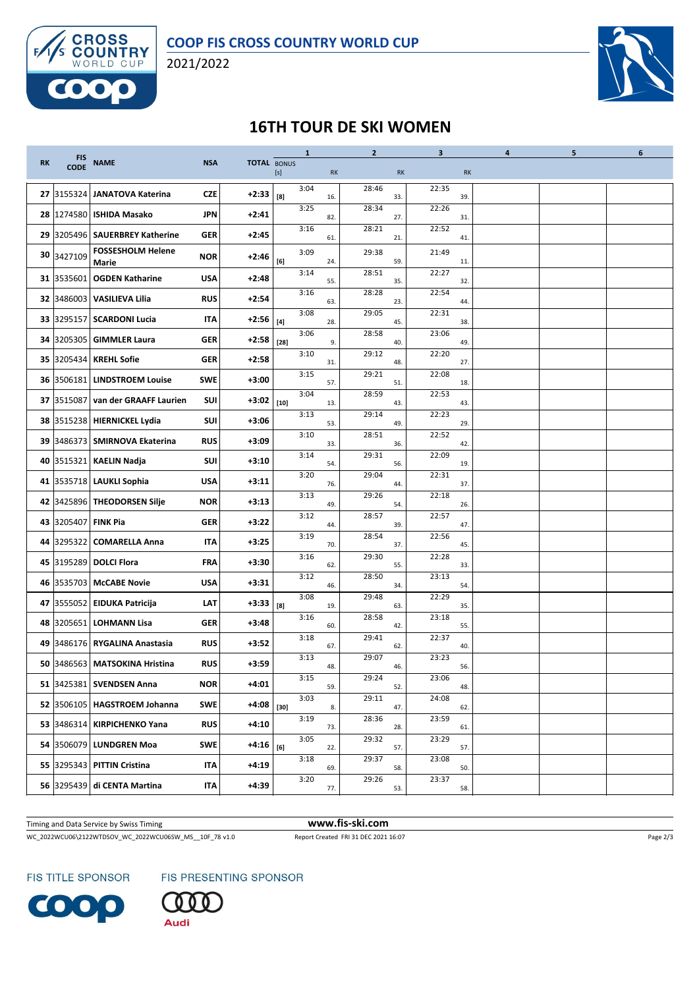

2021/2022



## **16TH TOUR DE SKI WOMEN**

|                 | <b>FIS</b>          |                                   |            |             |        | $\mathbf{1}$ |     | $\overline{2}$ |     | 3     |     | 4 | 5 | 6 |
|-----------------|---------------------|-----------------------------------|------------|-------------|--------|--------------|-----|----------------|-----|-------|-----|---|---|---|
| RK              | <b>CODE</b>         | <b>NAME</b>                       | <b>NSA</b> | TOTAL BONUS | [s]    |              | RK  |                | RK  |       | RK  |   |   |   |
|                 | 27 3155324          | JANATOVA Katerina                 | <b>CZE</b> | +2:33       | [8]    | 3:04         | 16. | 28:46          | 33. | 22:35 | 39. |   |   |   |
| 28              |                     | 1274580 ISHIDA Masako             | <b>JPN</b> | $+2:41$     |        | 3:25         | 82. | 28:34          | 27. | 22:26 | 31. |   |   |   |
|                 |                     | 29 3205496   SAUERBREY Katherine  | GER        | $+2:45$     |        | 3:16         | 61. | 28:21          | 21. | 22:52 | 41. |   |   |   |
| 30              | 3427109             | <b>FOSSESHOLM Helene</b><br>Marie | <b>NOR</b> | +2:46       | [6]    | 3:09         | 24. | 29:38          | 59. | 21:49 | 11. |   |   |   |
|                 |                     | 31 3535601 OGDEN Katharine        | <b>USA</b> | $+2:48$     |        | 3:14         | 55. | 28:51          | 35. | 22:27 | 32. |   |   |   |
|                 |                     | 32 3486003 VASILIEVA Lilia        | <b>RUS</b> | $+2:54$     |        | 3:16         | 63. | 28:28          | 23. | 22:54 | 44. |   |   |   |
| 33 <sub>1</sub> |                     | 3295157 SCARDONI Lucia            | IΤΑ        | +2:56       | $[4]$  | 3:08         | 28. | 29:05          | 45. | 22:31 | 38. |   |   |   |
|                 |                     | 34 3205305 GIMMLER Laura          | GER        | $+2:58$     | $[28]$ | 3:06         | 9.  | 28:58          | 40. | 23:06 | 49. |   |   |   |
| 35              |                     | 3205434   KREHL Sofie             | <b>GER</b> | $+2:58$     |        | 3:10         | 31. | 29:12          | 48. | 22:20 | 27. |   |   |   |
|                 |                     | 36 3506181 LINDSTROEM Louise      | <b>SWE</b> | $+3:00$     |        | 3:15         | 57. | 29:21          | 51. | 22:08 | 18. |   |   |   |
|                 |                     | 37 3515087 van der GRAAFF Laurien | SUI        | +3:02       | $[10]$ | 3:04         | 13. | 28:59          | 43. | 22:53 | 43. |   |   |   |
| 38              |                     | 3515238 HIERNICKEL Lydia          | SUI        | $+3:06$     |        | 3:13         | 53. | 29:14          | 49. | 22:23 | 29  |   |   |   |
| 39              |                     | 3486373   SMIRNOVA Ekaterina      | <b>RUS</b> | $+3:09$     |        | 3:10         | 33. | 28:51          | 36. | 22:52 | 42. |   |   |   |
|                 |                     | 40 3515321 KAELIN Nadja           | SUI        | $+3:10$     |        | 3:14         | 54. | 29:31          | 56. | 22:09 | 19. |   |   |   |
|                 |                     | 41 3535718 LAUKLI Sophia          | <b>USA</b> | $+3:11$     |        | 3:20         | 76. | 29:04          | 44. | 22:31 | 37. |   |   |   |
|                 |                     | 42 3425896 THEODORSEN Silje       | <b>NOR</b> | $+3:13$     |        | 3:13         | 49. | 29:26          | 54. | 22:18 | 26. |   |   |   |
|                 | 43 3205407 FINK Pia |                                   | <b>GER</b> | $+3:22$     |        | 3:12         | 44. | 28:57          | 39. | 22:57 | 47. |   |   |   |
| 44              |                     | 3295322 COMARELLA Anna            | IΤΑ        | $+3:25$     |        | 3:19         | 70. | 28:54          | 37. | 22:56 | 45. |   |   |   |
|                 |                     | 45 3195289 DOLCI Flora            | FRA        | $+3:30$     |        | 3:16         | 62. | 29:30          | 55. | 22:28 | 33. |   |   |   |
| 46              |                     | 3535703 McCABE Novie              | <b>USA</b> | $+3:31$     |        | 3:12         | 46. | 28:50          | 34. | 23:13 | 54. |   |   |   |
|                 |                     | 47 3555052 EIDUKA Patricija       | LAT        | +3:33       | [8]    | 3:08         | 19. | 29:48          | 63. | 22:29 | 35. |   |   |   |
| 48              |                     | 3205651 LOHMANN Lisa              | GER        | $+3:48$     |        | 3:16         | 60. | 28:58          | 42. | 23:18 | 55. |   |   |   |
| 49              |                     | 3486176 RYGALINA Anastasia        | <b>RUS</b> | $+3:52$     |        | 3:18         | 67. | 29:41          | 62. | 22:37 | 40. |   |   |   |
| 50              |                     | 3486563   MATSOKINA Hristina      | <b>RUS</b> | $+3:59$     |        | 3:13         | 48. | 29:07          | 46. | 23:23 | 56. |   |   |   |
|                 |                     | 51 3425381 SVENDSEN Anna          | <b>NOR</b> | $+4:01$     |        | 3:15         | 59. | 29:24          | 52. | 23:06 | 48. |   |   |   |
|                 |                     | 52 3506105 HAGSTROEM Johanna      | <b>SWE</b> | +4:08       | $[30]$ | 3:03         | 8.  | 29:11          | 47. | 24:08 | 62. |   |   |   |
|                 |                     | 53 3486314 KIRPICHENKO Yana       | <b>RUS</b> | $+4:10$     |        | 3:19         | 73. | 28:36          | 28. | 23:59 | 61. |   |   |   |
|                 |                     | 54 3506079 LUNDGREN Moa           | <b>SWE</b> | +4:16       | [6]    | 3:05         | 22. | 29:32          | 57. | 23:29 | 57. |   |   |   |
|                 |                     | 55 3295343 PITTIN Cristina        | IΤΑ        | $+4:19$     |        | 3:18         | 69. | 29:37          | 58. | 23:08 | 50. |   |   |   |
|                 |                     | 56 3295439 di CENTA Martina       | IΤΑ        | $+4:39$     |        | 3:20         | 77. | 29:26          | 53. | 23:37 | 58. |   |   |   |

Timing and Data Service by Swiss Timing **www.fis-ski.com**

WC\_2022WCU06\2122WTDSOV\_WC\_2022WCU06SW\_MS\_\_10F\_78 v1.0 Report Created FRI 31 DEC 2021 16:07 Page 2/3

FIS TITLE SPONSOR